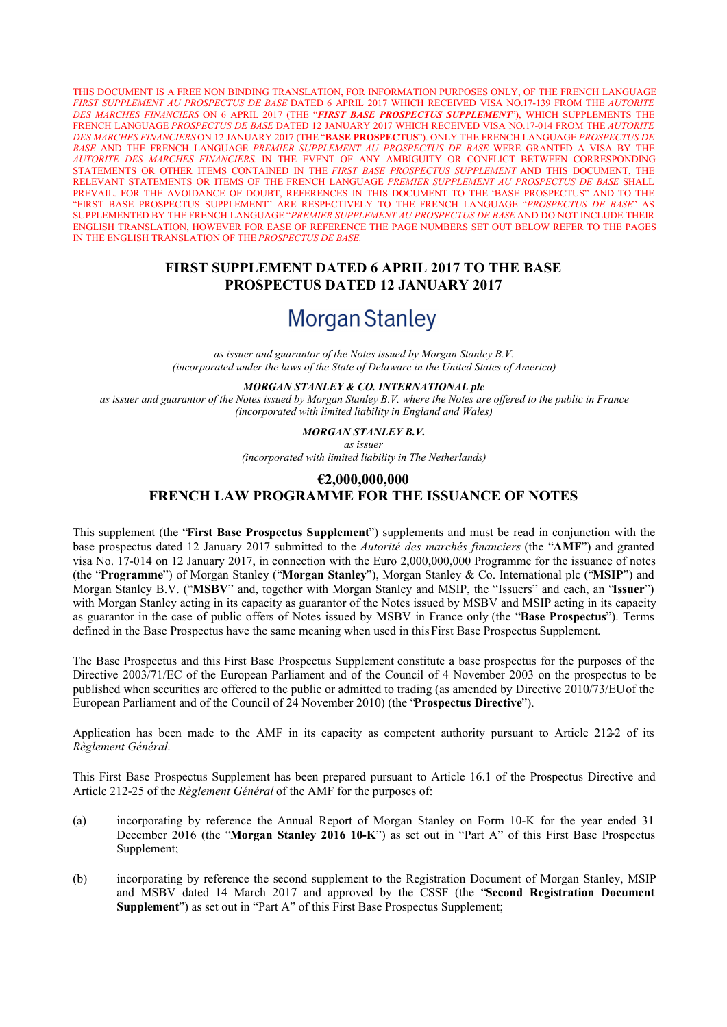THIS DOCUMENT IS A FREE NON BINDING TRANSLATION, FOR INFORMATION PURPOSES ONLY, OF THE FRENCH LANGUAGE *FIRST SUPPLEMENT AU PROSPECTUS DE BASE* DATED 6 APRIL 2017 WHICH RECEIVED VISA NO.17-139 FROM THE *AUTORITE DES MARCHES FINANCIERS* ON 6 APRIL 2017 (THE "*FIRST BASE PROSPECTUS SUPPLEMENT*"), WHICH SUPPLEMENTS THE FRENCH LANGUAGE *PROSPECTUS DE BASE* DATED 12 JANUARY 2017 WHICH RECEIVED VISA NO.17-014 FROM THE *AUTORITE DES MARCHES FINANCIERS* ON 12 JANUARY 2017 (THE "**BASE PROSPECTUS**"). ONLY THE FRENCH LANGUAGE *PROSPECTUS DE BASE* AND THE FRENCH LANGUAGE *PREMIER SUPPLEMENT AU PROSPECTUS DE BASE* WERE GRANTED A VISA BY THE *AUTORITE DES MARCHES FINANCIERS*. IN THE EVENT OF ANY AMBIGUITY OR CONFLICT BETWEEN CORRESPONDING STATEMENTS OR OTHER ITEMS CONTAINED IN THE *FIRST BASE PROSPECTUS SUPPLEMENT* AND THIS DOCUMENT, THE RELEVANT STATEMENTS OR ITEMS OF THE FRENCH LANGUAGE *PREMIER SUPPLEMENT AU PROSPECTUS DE BASE* SHALL PREVAIL. FOR THE AVOIDANCE OF DOUBT, REFERENCES IN THIS DOCUMENT TO THE "BASE PROSPECTUS" AND TO THE "FIRST BASE PROSPECTUS SUPPLEMENT" ARE RESPECTIVELY TO THE FRENCH LANGUAGE "*PROSPECTUS DE BASE*" AS SUPPLEMENTED BY THE FRENCH LANGUAGE "*PREMIER SUPPLEMENT AU PROSPECTUS DE BASE* AND DO NOT INCLUDE THEIR ENGLISH TRANSLATION, HOWEVER FOR EASE OF REFERENCE THE PAGE NUMBERS SET OUT BELOW REFER TO THE PAGES IN THE ENGLISH TRANSLATION OF THE *PROSPECTUS DE BASE*.

# **FIRST SUPPLEMENT DATED 6 APRIL 2017 TO THE BASE PROSPECTUS DATED 12 JANUARY 2017**

# **Morgan Stanley**

*as issuer and guarantor of the Notes issued by Morgan Stanley B.V. (incorporated under the laws of the State of Delaware in the United States of America)*

*MORGAN STANLEY & CO. INTERNATIONAL plc*

*as issuer and guarantor of the Notes issued by Morgan Stanley B.V. where the Notes are offered to the public in France (incorporated with limited liability in England and Wales)*

*MORGAN STANLEY B.V.*

*as issuer*

*(incorporated with limited liability in The Netherlands)*

#### **€2,000,000,000**

# **FRENCH LAW PROGRAMME FOR THE ISSUANCE OF NOTES**

This supplement (the "**First Base Prospectus Supplement**") supplements and must be read in conjunction with the base prospectus dated 12 January 2017 submitted to the *Autorité des marchés financiers* (the "**AMF**") and granted visa No. 17-014 on 12 January 2017, in connection with the Euro 2,000,000,000 Programme for the issuance of notes (the "**Programme**") of Morgan Stanley ("**Morgan Stanley**"), Morgan Stanley & Co. International plc ("**MSIP**") and Morgan Stanley B.V. ("**MSBV**" and, together with Morgan Stanley and MSIP, the "Issuers" and each, an "**Issuer**") with Morgan Stanley acting in its capacity as guarantor of the Notes issued by MSBV and MSIP acting in its capacity as guarantor in the case of public offers of Notes issued by MSBV in France only (the "**Base Prospectus**"). Terms defined in the Base Prospectus have the same meaning when used in this First Base Prospectus Supplement.

The Base Prospectus and this First Base Prospectus Supplement constitute a base prospectus for the purposes of the Directive 2003/71/EC of the European Parliament and of the Council of 4 November 2003 on the prospectus to be published when securities are offered to the public or admitted to trading (as amended by Directive 2010/73/EUof the European Parliament and of the Council of 24 November 2010) (the "**Prospectus Directive**").

Application has been made to the AMF in its capacity as competent authority pursuant to Article 212-2 of its *Règlement Général*.

This First Base Prospectus Supplement has been prepared pursuant to Article 16.1 of the Prospectus Directive and Article 212-25 of the *Règlement Général* of the AMF for the purposes of:

- (a) incorporating by reference the Annual Report of Morgan Stanley on Form 10-K for the year ended 31 December 2016 (the "**Morgan Stanley 2016 10-K**") as set out in "Part A" of this First Base Prospectus Supplement;
- (b) incorporating by reference the second supplement to the Registration Document of Morgan Stanley, MSIP and MSBV dated 14 March 2017 and approved by the CSSF (the "**Second Registration Document Supplement**") as set out in "Part A" of this First Base Prospectus Supplement;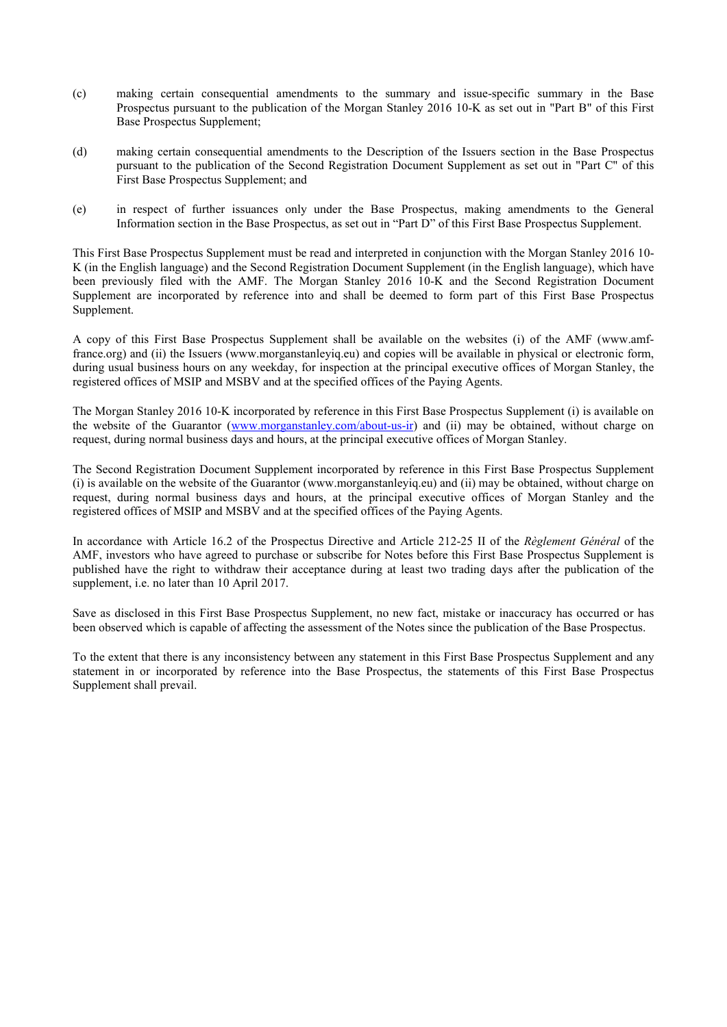- (c) making certain consequential amendments to the summary and issue-specific summary in the Base Prospectus pursuant to the publication of the Morgan Stanley 2016 10-K as set out in "Part B" of this First Base Prospectus Supplement;
- (d) making certain consequential amendments to the Description of the Issuers section in the Base Prospectus pursuant to the publication of the Second Registration Document Supplement as set out in "Part C" of this First Base Prospectus Supplement; and
- (e) in respect of further issuances only under the Base Prospectus, making amendments to the General Information section in the Base Prospectus, as set out in "Part D" of this First Base Prospectus Supplement.

This First Base Prospectus Supplement must be read and interpreted in conjunction with the Morgan Stanley 2016 10- K (in the English language) and the Second Registration Document Supplement (in the English language), which have been previously filed with the AMF. The Morgan Stanley 2016 10-K and the Second Registration Document Supplement are incorporated by reference into and shall be deemed to form part of this First Base Prospectus Supplement.

[A copy of this First Base Prospectus Supplement shall be available on the websites \(i\) of the AMF \(www.amf](http://www.amf-france.org/)france.org) and (ii) the Issuers (www.morganstanleyiq.eu) and copies will be available in physical or electronic form, during usual business hours on any weekday, for inspection at the principal executive offices of Morgan Stanley, the registered offices of MSIP and MSBV and at the specified offices of the Paying Agents.

The Morgan Stanley 2016 10-K incorporated by reference in this First Base Prospectus Supplement (i) is available on the website of the Guarantor ([www.morganstanley.com/about-us-ir](http://www.morganstanley.com/about-us-ir)) and (ii) may be obtained, without charge on request, during normal business days and hours, at the principal executive offices of Morgan Stanley.

The Second Registration Document Supplement incorporated by reference in this First Base Prospectus Supplement (i) is available on the website of the Guarantor ([www.morganstanleyiq.eu](http://www.morganstanleyiq.eu/)) and (ii) may be obtained, without charge on request, during normal business days and hours, at the principal executive offices of Morgan Stanley and the registered offices of MSIP and MSBV and at the specified offices of the Paying Agents.

In accordance with Article 16.2 of the Prospectus Directive and Article 212-25 II of the *Règlement Général* of the AMF, investors who have agreed to purchase or subscribe for Notes before this First Base Prospectus Supplement is published have the right to withdraw their acceptance during at least two trading days after the publication of the supplement, i.e. no later than 10 April 2017.

Save as disclosed in this First Base Prospectus Supplement, no new fact, mistake or inaccuracy has occurred or has been observed which is capable of affecting the assessment of the Notes since the publication of the Base Prospectus.

To the extent that there is any inconsistency between any statement in this First Base Prospectus Supplement and any statement in or incorporated by reference into the Base Prospectus, the statements of this First Base Prospectus Supplement shall prevail.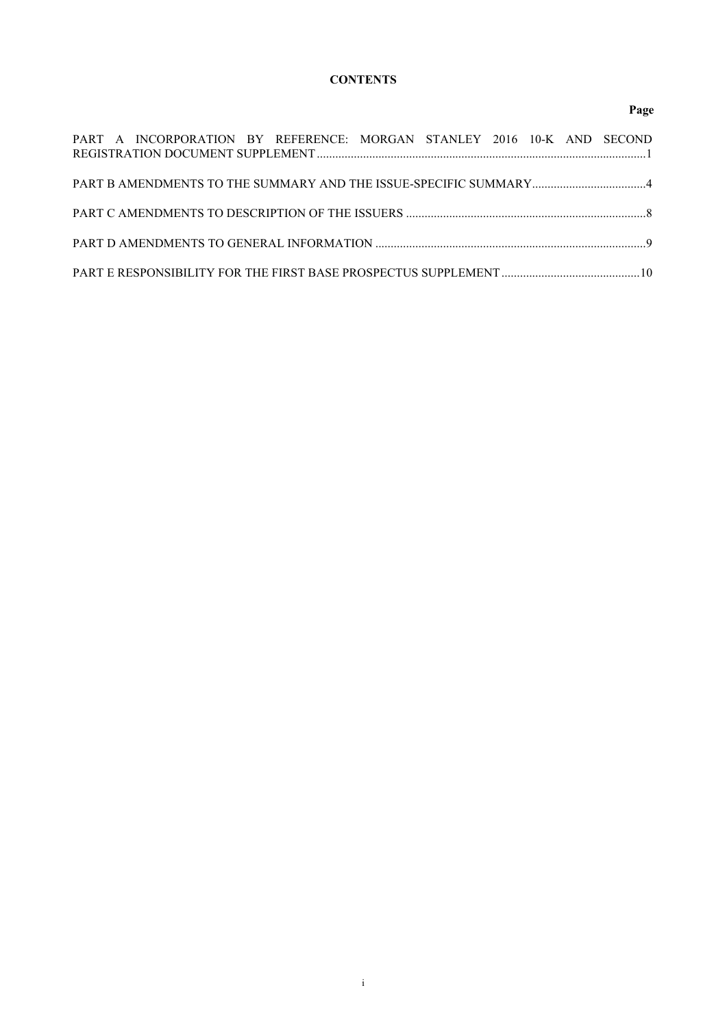# **CONTENTS**

### **Page**

|  |  | PART A INCORPORATION BY REFERENCE: MORGAN STANLEY 2016 10-K AND SECOND |  |  |  |
|--|--|------------------------------------------------------------------------|--|--|--|
|  |  |                                                                        |  |  |  |
|  |  |                                                                        |  |  |  |
|  |  |                                                                        |  |  |  |
|  |  |                                                                        |  |  |  |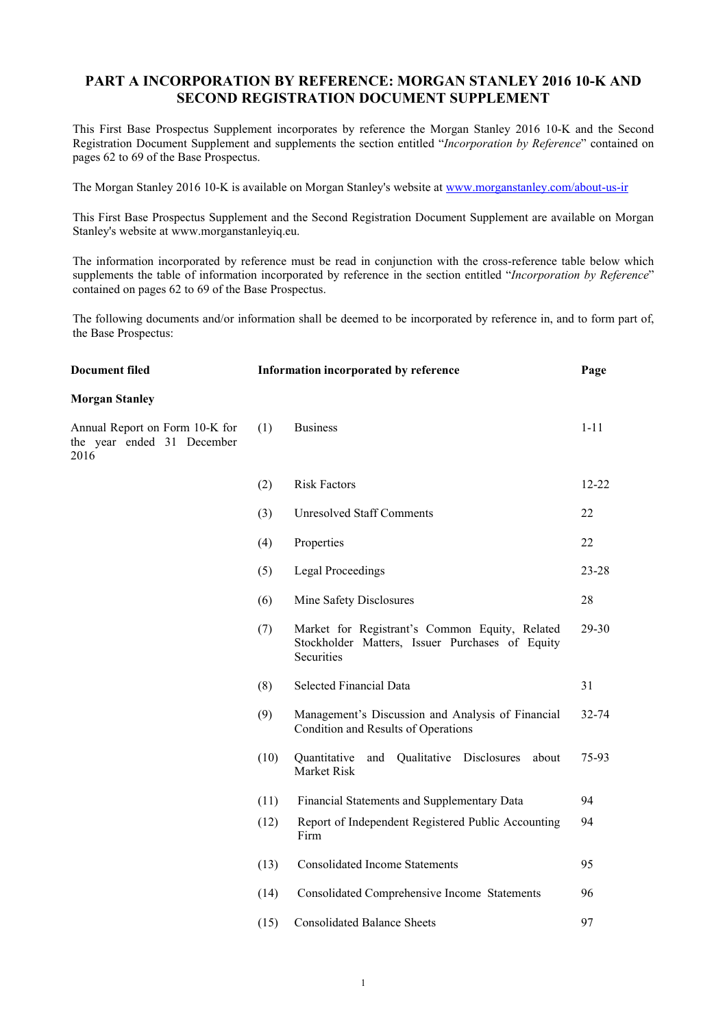# **PART A INCORPORATION BY REFERENCE: MORGAN STANLEY 2016 10-K AND SECOND REGISTRATION DOCUMENT SUPPLEMENT**

This First Base Prospectus Supplement incorporates by reference the Morgan Stanley 2016 10-K and the Second Registration Document Supplement and supplements the section entitled "*Incorporation by Reference*" contained on pages 62 to 69 of the Base Prospectus.

The Morgan Stanley 2016 10-K is available on Morgan Stanley's website at [www.morganstanley.com/about-us-ir](http://www.morganstanley.com/about-us-ir)

This First Base Prospectus Supplement and the Second Registration Document Supplement are available on Morgan Stanley's website at [www.morganstanleyiq.eu](http://www.morganstanleyiq.eu/).

The information incorporated by reference must be read in conjunction with the cross-reference table below which supplements the table of information incorporated by reference in the section entitled "*Incorporation by Reference*" contained on pages 62 to 69 of the Base Prospectus.

<span id="page-3-0"></span>The following documents and/or information shall be deemed to be incorporated by reference in, and to form part of, the Base Prospectus:

| <b>Document filed</b>                                                | Information incorporated by reference |                                                                                                                 |           |
|----------------------------------------------------------------------|---------------------------------------|-----------------------------------------------------------------------------------------------------------------|-----------|
| <b>Morgan Stanley</b>                                                |                                       |                                                                                                                 |           |
| Annual Report on Form 10-K for<br>the year ended 31 December<br>2016 | (1)                                   | <b>Business</b>                                                                                                 | $1 - 11$  |
|                                                                      | (2)                                   | <b>Risk Factors</b>                                                                                             | $12 - 22$ |
|                                                                      | (3)                                   | <b>Unresolved Staff Comments</b>                                                                                | 22        |
|                                                                      | (4)                                   | Properties                                                                                                      | 22        |
|                                                                      | (5)                                   | <b>Legal Proceedings</b>                                                                                        | $23 - 28$ |
|                                                                      | (6)                                   | Mine Safety Disclosures                                                                                         | 28        |
|                                                                      | (7)                                   | Market for Registrant's Common Equity, Related<br>Stockholder Matters, Issuer Purchases of Equity<br>Securities | 29-30     |
|                                                                      | (8)                                   | <b>Selected Financial Data</b>                                                                                  | 31        |
|                                                                      | (9)                                   | Management's Discussion and Analysis of Financial<br>Condition and Results of Operations                        | 32-74     |
|                                                                      | (10)                                  | Quantitative<br>and Qualitative Disclosures<br>about<br>Market Risk                                             | 75-93     |
|                                                                      | (11)                                  | Financial Statements and Supplementary Data                                                                     | 94        |
|                                                                      | (12)                                  | Report of Independent Registered Public Accounting<br>Firm                                                      | 94        |
|                                                                      | (13)                                  | <b>Consolidated Income Statements</b>                                                                           | 95        |
|                                                                      | (14)                                  | Consolidated Comprehensive Income Statements                                                                    | 96        |
|                                                                      | (15)                                  | <b>Consolidated Balance Sheets</b>                                                                              | 97        |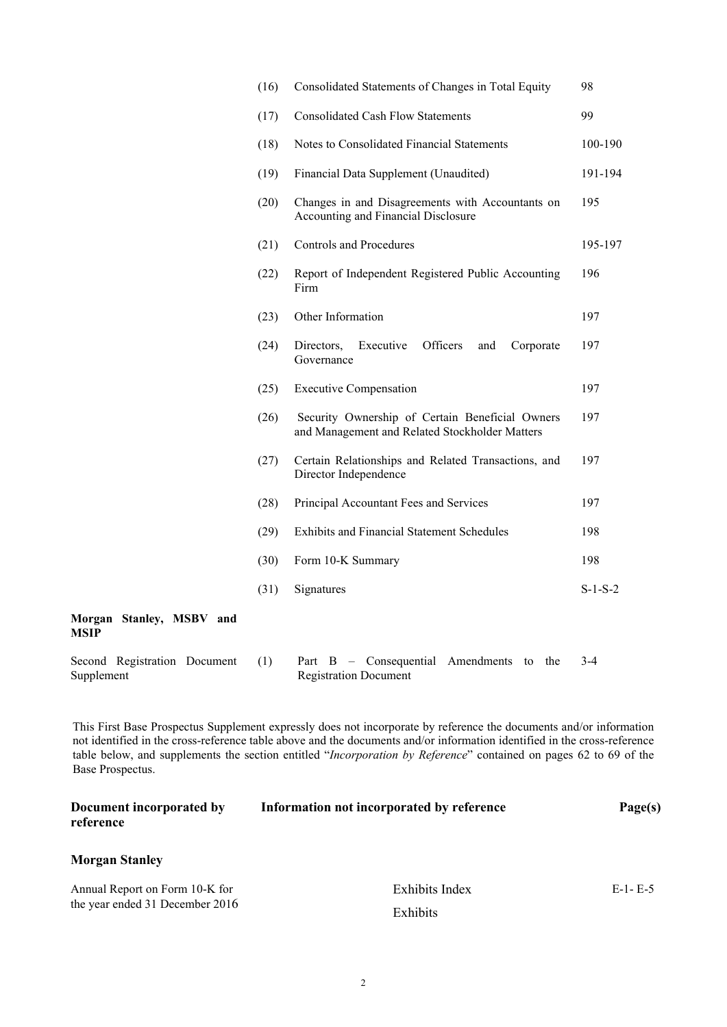|                                         | (16) | Consolidated Statements of Changes in Total Equity                                                | 98        |
|-----------------------------------------|------|---------------------------------------------------------------------------------------------------|-----------|
|                                         | (17) | <b>Consolidated Cash Flow Statements</b>                                                          | 99        |
|                                         | (18) | Notes to Consolidated Financial Statements                                                        | 100-190   |
|                                         | (19) | Financial Data Supplement (Unaudited)                                                             | 191-194   |
|                                         | (20) | Changes in and Disagreements with Accountants on<br>Accounting and Financial Disclosure           | 195       |
|                                         | (21) | <b>Controls and Procedures</b>                                                                    | 195-197   |
|                                         | (22) | Report of Independent Registered Public Accounting<br>Firm                                        | 196       |
|                                         | (23) | Other Information                                                                                 | 197       |
|                                         | (24) | Officers<br>Directors,<br>Executive<br>and<br>Corporate<br>Governance                             | 197       |
|                                         | (25) | <b>Executive Compensation</b>                                                                     | 197       |
|                                         | (26) | Security Ownership of Certain Beneficial Owners<br>and Management and Related Stockholder Matters | 197       |
|                                         | (27) | Certain Relationships and Related Transactions, and<br>Director Independence                      | 197       |
|                                         | (28) | Principal Accountant Fees and Services                                                            | 197       |
|                                         | (29) | <b>Exhibits and Financial Statement Schedules</b>                                                 | 198       |
|                                         | (30) | Form 10-K Summary                                                                                 | 198       |
|                                         | (31) | Signatures                                                                                        | $S-1-S-2$ |
| Morgan Stanley, MSBV and<br><b>MSIP</b> |      |                                                                                                   |           |
| Second Registration Document            | (1)  | Part B - Consequential Amendments<br>to the                                                       | $3-4$     |

This First Base Prospectus Supplement expressly does not incorporate by reference the documents and/or information not identified in the cross-reference table above and the documents and/or information identified in the cross-reference table below, and supplements the section entitled "*Incorporation by Reference*" contained on pages 62 to 69 of the Base Prospectus.

Registration Document

Supplement

| Document incorporated by<br>reference | Information not incorporated by reference | Page(s)   |
|---------------------------------------|-------------------------------------------|-----------|
| <b>Morgan Stanley</b>                 |                                           |           |
| Annual Report on Form 10-K for        | Exhibits Index                            | $E-1-E-5$ |
| the year ended 31 December 2016       | <b>Exhibits</b>                           |           |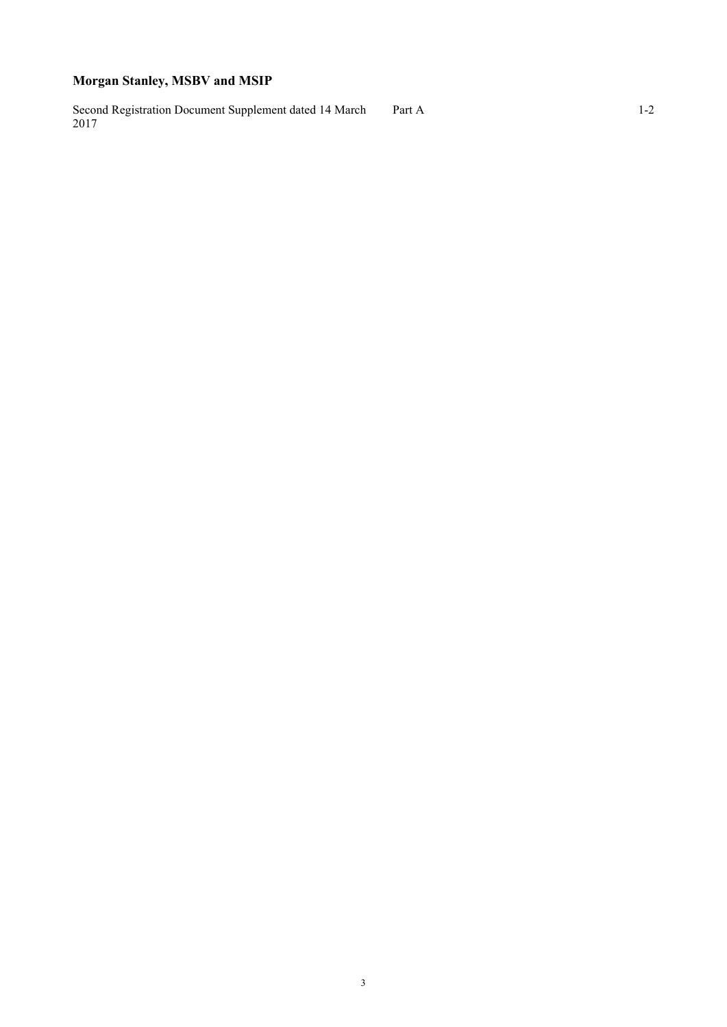# **Morgan Stanley, MSBV and MSIP**

Second Registration Document Supplement dated 14 March 2017 Part A 1-2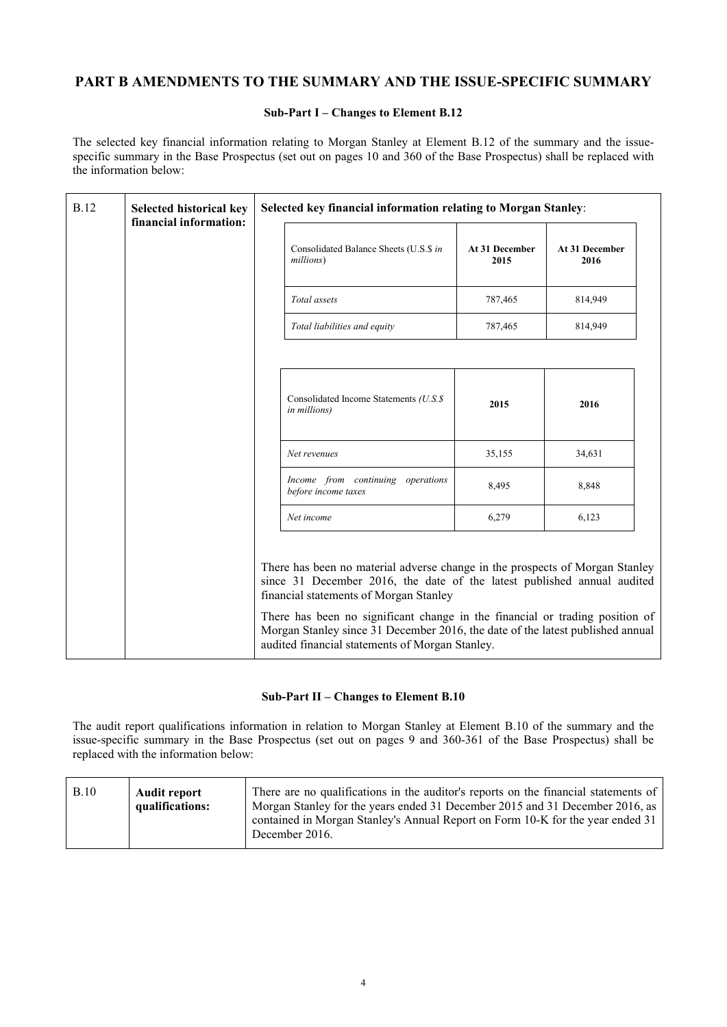# **PART B AMENDMENTS TO THE SUMMARY AND THE ISSUE-SPECIFIC SUMMARY**

#### **Sub-Part I – Changes to Element B.12**

The selected key financial information relating to Morgan Stanley at Element B.12 of the summary and the issuespecific summary in the Base Prospectus (set out on pages 10 and 360 of the Base Prospectus) shall be replaced with the information below:

| <b>B.12</b> | Selected historical key<br>financial information: | Selected key financial information relating to Morgan Stanley:                                                                                                                                                                                                                                                                                                                                                         |                        |                        |
|-------------|---------------------------------------------------|------------------------------------------------------------------------------------------------------------------------------------------------------------------------------------------------------------------------------------------------------------------------------------------------------------------------------------------------------------------------------------------------------------------------|------------------------|------------------------|
|             |                                                   | Consolidated Balance Sheets (U.S.\$ in<br>millions)                                                                                                                                                                                                                                                                                                                                                                    | At 31 December<br>2015 | At 31 December<br>2016 |
|             |                                                   | Total assets                                                                                                                                                                                                                                                                                                                                                                                                           | 787,465                | 814,949                |
|             |                                                   | Total liabilities and equity                                                                                                                                                                                                                                                                                                                                                                                           | 787,465                | 814,949                |
|             |                                                   |                                                                                                                                                                                                                                                                                                                                                                                                                        |                        |                        |
|             |                                                   | Consolidated Income Statements (U.S.\$<br><i>in millions</i> )                                                                                                                                                                                                                                                                                                                                                         | 2015                   | 2016                   |
|             |                                                   | Net revenues                                                                                                                                                                                                                                                                                                                                                                                                           | 35,155                 | 34,631                 |
|             |                                                   | Income from continuing operations<br>before income taxes                                                                                                                                                                                                                                                                                                                                                               | 8,495                  | 8,848                  |
|             |                                                   | Net income                                                                                                                                                                                                                                                                                                                                                                                                             | 6,279                  | 6,123                  |
|             |                                                   | There has been no material adverse change in the prospects of Morgan Stanley<br>since 31 December 2016, the date of the latest published annual audited<br>financial statements of Morgan Stanley<br>There has been no significant change in the financial or trading position of<br>Morgan Stanley since 31 December 2016, the date of the latest published annual<br>audited financial statements of Morgan Stanley. |                        |                        |

#### **Sub-Part II – Changes to Element B.10**

The audit report qualifications information in relation to Morgan Stanley at Element B.10 of the summary and the issue-specific summary in the Base Prospectus (set out on pages 9 and 360-361 of the Base Prospectus) shall be replaced with the information below:

| B.10 | <b>Audit report</b><br>qualifications: | There are no qualifications in the auditor's reports on the financial statements of<br>Morgan Stanley for the years ended 31 December 2015 and 31 December 2016, as<br>contained in Morgan Stanley's Annual Report on Form 10-K for the year ended 31<br>December 2016. |
|------|----------------------------------------|-------------------------------------------------------------------------------------------------------------------------------------------------------------------------------------------------------------------------------------------------------------------------|
|      |                                        |                                                                                                                                                                                                                                                                         |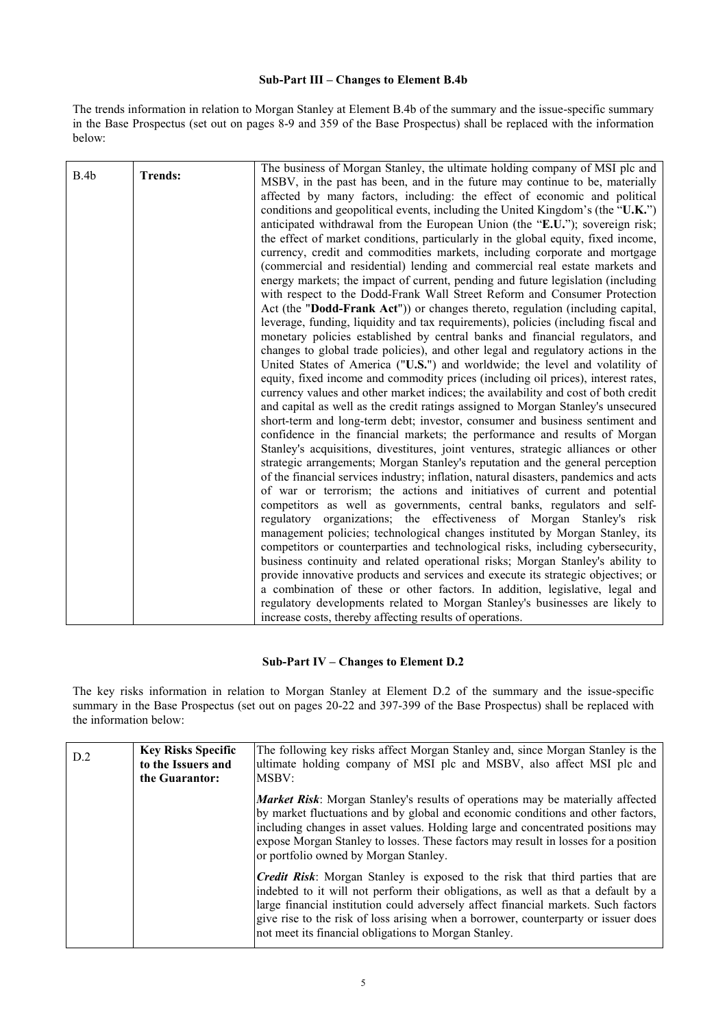#### **Sub-Part III – Changes to Element B.4b**

The trends information in relation to Morgan Stanley at Element B.4b of the summary and the issue-specific summary in the Base Prospectus (set out on pages 8-9 and 359 of the Base Prospectus) shall be replaced with the information below:

| B.4b | <b>Trends:</b> | The business of Morgan Stanley, the ultimate holding company of MSI plc and          |
|------|----------------|--------------------------------------------------------------------------------------|
|      |                | MSBV, in the past has been, and in the future may continue to be, materially         |
|      |                | affected by many factors, including: the effect of economic and political            |
|      |                | conditions and geopolitical events, including the United Kingdom's (the "U.K.")      |
|      |                | anticipated withdrawal from the European Union (the "E.U."); sovereign risk;         |
|      |                | the effect of market conditions, particularly in the global equity, fixed income,    |
|      |                | currency, credit and commodities markets, including corporate and mortgage           |
|      |                | (commercial and residential) lending and commercial real estate markets and          |
|      |                | energy markets; the impact of current, pending and future legislation (including     |
|      |                | with respect to the Dodd-Frank Wall Street Reform and Consumer Protection            |
|      |                | Act (the "Dodd-Frank Act")) or changes thereto, regulation (including capital,       |
|      |                | leverage, funding, liquidity and tax requirements), policies (including fiscal and   |
|      |                | monetary policies established by central banks and financial regulators, and         |
|      |                | changes to global trade policies), and other legal and regulatory actions in the     |
|      |                | United States of America ("U.S.") and worldwide; the level and volatility of         |
|      |                | equity, fixed income and commodity prices (including oil prices), interest rates,    |
|      |                | currency values and other market indices; the availability and cost of both credit   |
|      |                | and capital as well as the credit ratings assigned to Morgan Stanley's unsecured     |
|      |                | short-term and long-term debt; investor, consumer and business sentiment and         |
|      |                | confidence in the financial markets; the performance and results of Morgan           |
|      |                | Stanley's acquisitions, divestitures, joint ventures, strategic alliances or other   |
|      |                | strategic arrangements; Morgan Stanley's reputation and the general perception       |
|      |                | of the financial services industry; inflation, natural disasters, pandemics and acts |
|      |                | of war or terrorism; the actions and initiatives of current and potential            |
|      |                | competitors as well as governments, central banks, regulators and self-              |
|      |                | regulatory organizations; the effectiveness of Morgan<br>Stanley's risk              |
|      |                | management policies; technological changes instituted by Morgan Stanley, its         |
|      |                | competitors or counterparties and technological risks, including cybersecurity,      |
|      |                |                                                                                      |
|      |                | business continuity and related operational risks; Morgan Stanley's ability to       |
|      |                | provide innovative products and services and execute its strategic objectives; or    |
|      |                | a combination of these or other factors. In addition, legislative, legal and         |
|      |                | regulatory developments related to Morgan Stanley's businesses are likely to         |
|      |                | increase costs, thereby affecting results of operations.                             |

#### **Sub-Part IV – Changes to Element D.2**

The key risks information in relation to Morgan Stanley at Element D.2 of the summary and the issue-specific summary in the Base Prospectus (set out on pages 20-22 and 397-399 of the Base Prospectus) shall be replaced with the information below:

| D.2 | <b>Key Risks Specific</b><br>to the Issuers and<br>the Guarantor: | The following key risks affect Morgan Stanley and, since Morgan Stanley is the<br>ultimate holding company of MSI plc and MSBV, also affect MSI plc and<br>MSBV:                                                                                                                                                                                                                                                |
|-----|-------------------------------------------------------------------|-----------------------------------------------------------------------------------------------------------------------------------------------------------------------------------------------------------------------------------------------------------------------------------------------------------------------------------------------------------------------------------------------------------------|
|     |                                                                   | <b>Market Risk</b> : Morgan Stanley's results of operations may be materially affected<br>by market fluctuations and by global and economic conditions and other factors,<br>including changes in asset values. Holding large and concentrated positions may<br>expose Morgan Stanley to losses. These factors may result in losses for a position<br>or portfolio owned by Morgan Stanley.                     |
|     |                                                                   | <i>Credit Risk:</i> Morgan Stanley is exposed to the risk that third parties that are<br>indebted to it will not perform their obligations, as well as that a default by a<br>large financial institution could adversely affect financial markets. Such factors<br>give rise to the risk of loss arising when a borrower, counterparty or issuer does<br>not meet its financial obligations to Morgan Stanley. |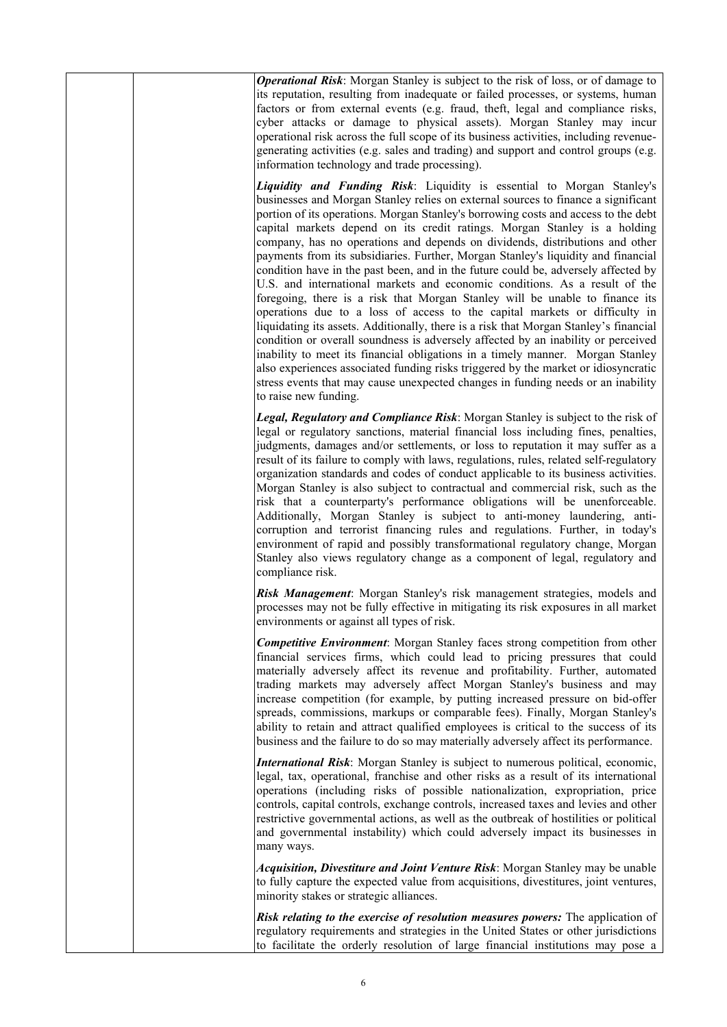|  | <b>Operational Risk:</b> Morgan Stanley is subject to the risk of loss, or of damage to<br>its reputation, resulting from inadequate or failed processes, or systems, human<br>factors or from external events (e.g. fraud, theft, legal and compliance risks,<br>cyber attacks or damage to physical assets). Morgan Stanley may incur<br>operational risk across the full scope of its business activities, including revenue-<br>generating activities (e.g. sales and trading) and support and control groups (e.g.<br>information technology and trade processing).                                                                                                                                                                                                                                                                                                                                                                                                                                                                                                                                                                                                                                                                                                                                 |
|--|----------------------------------------------------------------------------------------------------------------------------------------------------------------------------------------------------------------------------------------------------------------------------------------------------------------------------------------------------------------------------------------------------------------------------------------------------------------------------------------------------------------------------------------------------------------------------------------------------------------------------------------------------------------------------------------------------------------------------------------------------------------------------------------------------------------------------------------------------------------------------------------------------------------------------------------------------------------------------------------------------------------------------------------------------------------------------------------------------------------------------------------------------------------------------------------------------------------------------------------------------------------------------------------------------------|
|  | Liquidity and Funding Risk: Liquidity is essential to Morgan Stanley's<br>businesses and Morgan Stanley relies on external sources to finance a significant<br>portion of its operations. Morgan Stanley's borrowing costs and access to the debt<br>capital markets depend on its credit ratings. Morgan Stanley is a holding<br>company, has no operations and depends on dividends, distributions and other<br>payments from its subsidiaries. Further, Morgan Stanley's liquidity and financial<br>condition have in the past been, and in the future could be, adversely affected by<br>U.S. and international markets and economic conditions. As a result of the<br>foregoing, there is a risk that Morgan Stanley will be unable to finance its<br>operations due to a loss of access to the capital markets or difficulty in<br>liquidating its assets. Additionally, there is a risk that Morgan Stanley's financial<br>condition or overall soundness is adversely affected by an inability or perceived<br>inability to meet its financial obligations in a timely manner. Morgan Stanley<br>also experiences associated funding risks triggered by the market or idiosyncratic<br>stress events that may cause unexpected changes in funding needs or an inability<br>to raise new funding. |
|  | Legal, Regulatory and Compliance Risk: Morgan Stanley is subject to the risk of<br>legal or regulatory sanctions, material financial loss including fines, penalties,<br>judgments, damages and/or settlements, or loss to reputation it may suffer as a<br>result of its failure to comply with laws, regulations, rules, related self-regulatory<br>organization standards and codes of conduct applicable to its business activities.<br>Morgan Stanley is also subject to contractual and commercial risk, such as the<br>risk that a counterparty's performance obligations will be unenforceable.<br>Additionally, Morgan Stanley is subject to anti-money laundering, anti-<br>corruption and terrorist financing rules and regulations. Further, in today's<br>environment of rapid and possibly transformational regulatory change, Morgan<br>Stanley also views regulatory change as a component of legal, regulatory and<br>compliance risk.                                                                                                                                                                                                                                                                                                                                                  |
|  | Risk Management: Morgan Stanley's risk management strategies, models and<br>processes may not be fully effective in mitigating its risk exposures in all market<br>environments or against all types of risk.                                                                                                                                                                                                                                                                                                                                                                                                                                                                                                                                                                                                                                                                                                                                                                                                                                                                                                                                                                                                                                                                                            |
|  | <b>Competitive Environment:</b> Morgan Stanley faces strong competition from other<br>financial services firms, which could lead to pricing pressures that could<br>materially adversely affect its revenue and profitability. Further, automated<br>trading markets may adversely affect Morgan Stanley's business and may<br>increase competition (for example, by putting increased pressure on bid-offer<br>spreads, commissions, markups or comparable fees). Finally, Morgan Stanley's<br>ability to retain and attract qualified employees is critical to the success of its<br>business and the failure to do so may materially adversely affect its performance.                                                                                                                                                                                                                                                                                                                                                                                                                                                                                                                                                                                                                                |
|  | International Risk: Morgan Stanley is subject to numerous political, economic,<br>legal, tax, operational, franchise and other risks as a result of its international<br>operations (including risks of possible nationalization, expropriation, price<br>controls, capital controls, exchange controls, increased taxes and levies and other<br>restrictive governmental actions, as well as the outbreak of hostilities or political<br>and governmental instability) which could adversely impact its businesses in<br>many ways.                                                                                                                                                                                                                                                                                                                                                                                                                                                                                                                                                                                                                                                                                                                                                                     |
|  | Acquisition, Divestiture and Joint Venture Risk: Morgan Stanley may be unable<br>to fully capture the expected value from acquisitions, divestitures, joint ventures,<br>minority stakes or strategic alliances.                                                                                                                                                                                                                                                                                                                                                                                                                                                                                                                                                                                                                                                                                                                                                                                                                                                                                                                                                                                                                                                                                         |
|  | Risk relating to the exercise of resolution measures powers: The application of<br>regulatory requirements and strategies in the United States or other jurisdictions<br>to facilitate the orderly resolution of large financial institutions may pose a                                                                                                                                                                                                                                                                                                                                                                                                                                                                                                                                                                                                                                                                                                                                                                                                                                                                                                                                                                                                                                                 |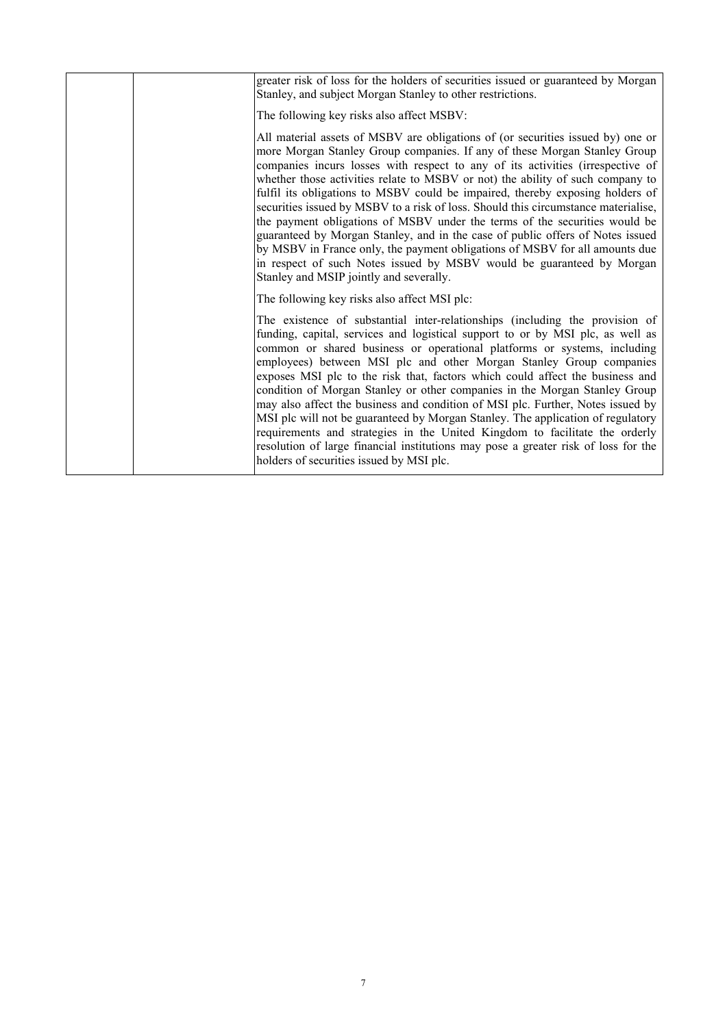|  | greater risk of loss for the holders of securities issued or guaranteed by Morgan<br>Stanley, and subject Morgan Stanley to other restrictions.                                                                                                                                                                                                                                                                                                                                                                                                                                                                                                                                                                                                                                                                                                                            |
|--|----------------------------------------------------------------------------------------------------------------------------------------------------------------------------------------------------------------------------------------------------------------------------------------------------------------------------------------------------------------------------------------------------------------------------------------------------------------------------------------------------------------------------------------------------------------------------------------------------------------------------------------------------------------------------------------------------------------------------------------------------------------------------------------------------------------------------------------------------------------------------|
|  | The following key risks also affect MSBV:                                                                                                                                                                                                                                                                                                                                                                                                                                                                                                                                                                                                                                                                                                                                                                                                                                  |
|  | All material assets of MSBV are obligations of (or securities issued by) one or<br>more Morgan Stanley Group companies. If any of these Morgan Stanley Group<br>companies incurs losses with respect to any of its activities (irrespective of<br>whether those activities relate to MSBV or not) the ability of such company to<br>fulfil its obligations to MSBV could be impaired, thereby exposing holders of<br>securities issued by MSBV to a risk of loss. Should this circumstance materialise,<br>the payment obligations of MSBV under the terms of the securities would be<br>guaranteed by Morgan Stanley, and in the case of public offers of Notes issued<br>by MSBV in France only, the payment obligations of MSBV for all amounts due<br>in respect of such Notes issued by MSBV would be guaranteed by Morgan<br>Stanley and MSIP jointly and severally. |
|  | The following key risks also affect MSI plc:                                                                                                                                                                                                                                                                                                                                                                                                                                                                                                                                                                                                                                                                                                                                                                                                                               |
|  | The existence of substantial inter-relationships (including the provision of<br>funding, capital, services and logistical support to or by MSI plc, as well as<br>common or shared business or operational platforms or systems, including<br>employees) between MSI plc and other Morgan Stanley Group companies<br>exposes MSI plc to the risk that, factors which could affect the business and<br>condition of Morgan Stanley or other companies in the Morgan Stanley Group<br>may also affect the business and condition of MSI plc. Further, Notes issued by<br>MSI plc will not be guaranteed by Morgan Stanley. The application of regulatory<br>requirements and strategies in the United Kingdom to facilitate the orderly<br>resolution of large financial institutions may pose a greater risk of loss for the<br>holders of securities issued by MSI plc.    |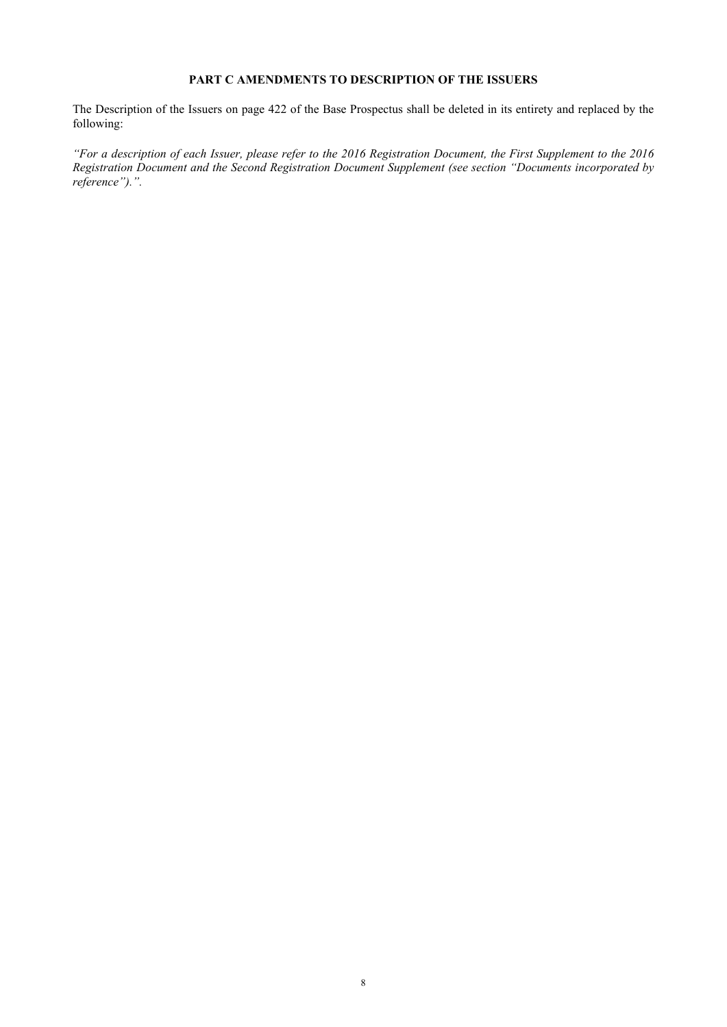#### <span id="page-10-0"></span>**PART C AMENDMENTS TO DESCRIPTION OF THE ISSUERS**

The Description of the Issuers on page 422 of the Base Prospectus shall be deleted in its entirety and replaced by the following:

*"For a description of each Issuer, please refer to the 2016 Registration Document, the First Supplement to the 2016 Registration Document and the Second Registration Document Supplement (see section "Documents incorporated by reference").".*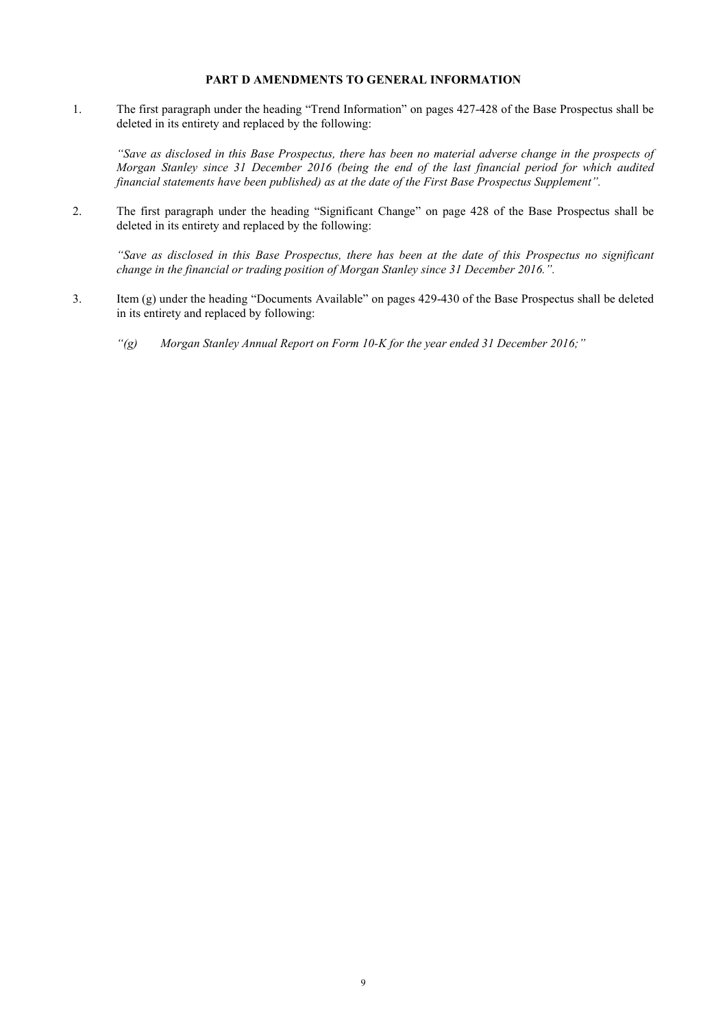#### <span id="page-11-0"></span>**PART D AMENDMENTS TO GENERAL INFORMATION**

1. The first paragraph under the heading "Trend Information" on pages 427-428 of the Base Prospectus shall be deleted in its entirety and replaced by the following:

*"Save as disclosed in this Base Prospectus, there has been no material adverse change in the prospects of Morgan Stanley since 31 December 2016 (being the end of the last financial period for which audited financial statements have been published) as at the date of the First Base Prospectus Supplement".* 

2. The first paragraph under the heading "Significant Change" on page 428 of the Base Prospectus shall be deleted in its entirety and replaced by the following:

*"Save as disclosed in this Base Prospectus, there has been at the date of this Prospectus no significant change in the financial or trading position of Morgan Stanley since 31 December 2016.".*

- 3. Item (g) under the heading "Documents Available" on pages 429-430 of the Base Prospectus shall be deleted in its entirety and replaced by following:
	- *"(g) Morgan Stanley Annual Report on Form 10-K for the year ended 31 December 2016;"*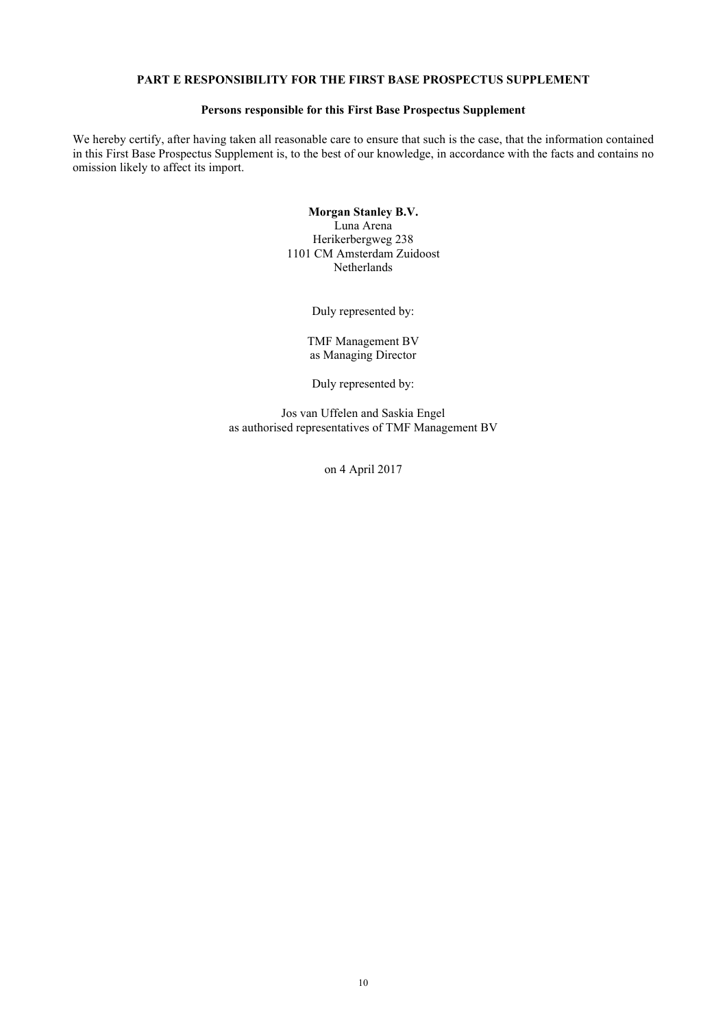#### <span id="page-12-0"></span>**PART E RESPONSIBILITY FOR THE FIRST BASE PROSPECTUS SUPPLEMENT**

#### **Persons responsible for this First Base Prospectus Supplement**

We hereby certify, after having taken all reasonable care to ensure that such is the case, that the information contained in this First Base Prospectus Supplement is, to the best of our knowledge, in accordance with the facts and contains no omission likely to affect its import.

> **Morgan Stanley B.V.** Luna Arena Herikerbergweg 238 1101 CM Amsterdam Zuidoost Netherlands

> > Duly represented by:

TMF Management BV as Managing Director

Duly represented by:

Jos van Uffelen and Saskia Engel as authorised representatives of TMF Management BV

on 4 April 2017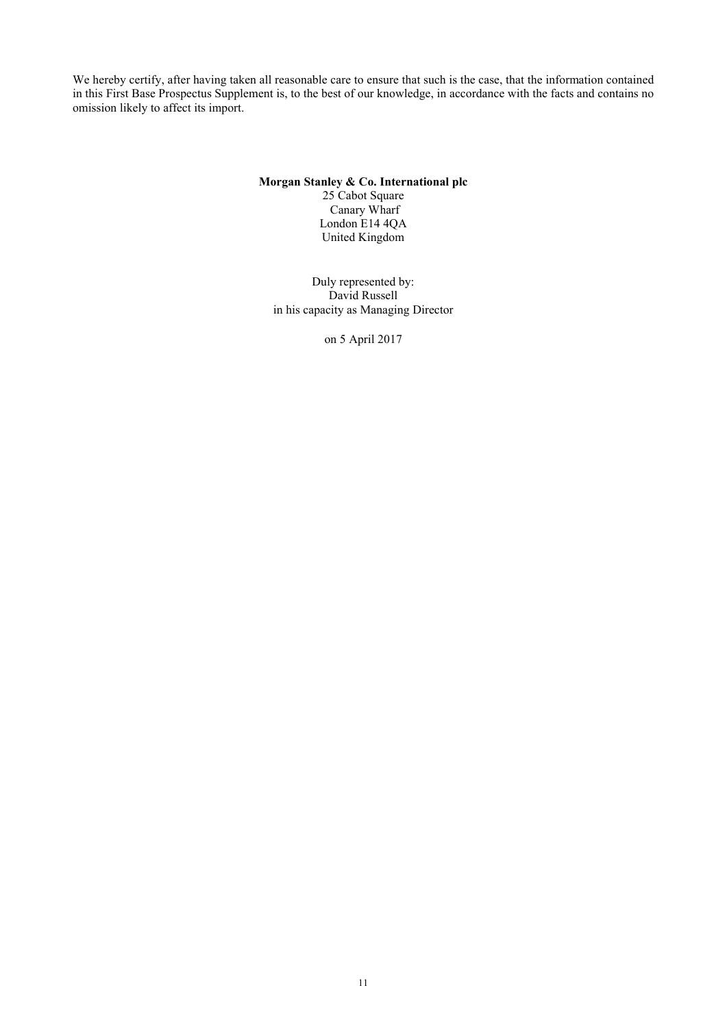We hereby certify, after having taken all reasonable care to ensure that such is the case, that the information contained in this First Base Prospectus Supplement is, to the best of our knowledge, in accordance with the facts and contains no omission likely to affect its import.

#### **Morgan Stanley & Co. International plc** 25 Cabot Square Canary Wharf London E14 4QA United Kingdom

Duly represented by: David Russell in his capacity as Managing Director

on 5 April 2017